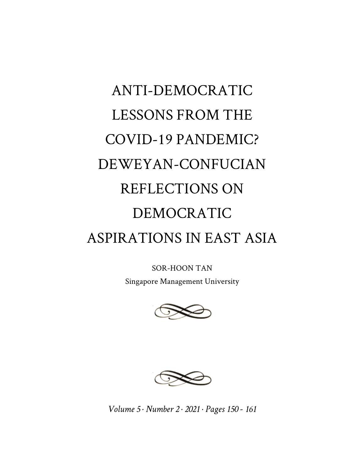## ANTI-DEMOCRATIC LESSONS FROM THE COVID-19 PANDEMIC? DEWEYAN-CONFUCIAN REFLECTIONS ON DEMOCRATIC ASPIRATIONS IN EAST ASIA

SOR-HOON TAN

Singapore Management University





*Volume 5 · Number 2 · 2021 · Pages 150 - 161*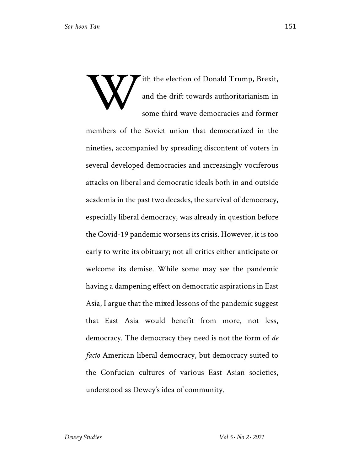ith the election of Donald Trump, Brexit, and the drift towards authoritarianism in some third wave democracies and former members of the Soviet union that democratized in the nineties, accompanied by spreading discontent of voters in several developed democracies and increasingly vociferous attacks on liberal and democratic ideals both in and outside academia in the past two decades, the survival of democracy, especially liberal democracy, was already in question before the Covid-19 pandemic worsens its crisis. However, it is too early to write its obituary; not all critics either anticipate or welcome its demise. While some may see the pandemic having a dampening effect on democratic aspirations in East Asia, I argue that the mixed lessons of the pandemic suggest that East Asia would benefit from more, not less, democracy. The democracy they need is not the form of *de facto* American liberal democracy, but democracy suited to the Confucian cultures of various East Asian societies, understood as Dewey's idea of community. W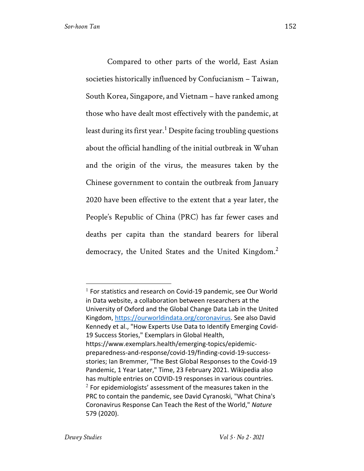Compared to other parts of the world, East Asian societies historically influenced by Confucianism – Taiwan, South Korea, Singapore, and Vietnam – have ranked among those who have dealt most effectively with the pandemic, at least during its first year.<sup>1</sup> Despite facing troubling questions about the official handling of the initial outbreak in Wuhan and the origin of the virus, the measures taken by the Chinese government to contain the outbreak from January 2020 have been effective to the extent that a year later, the People's Republic of China (PRC) has far fewer cases and deaths per capita than the standard bearers for liberal democracy, the United States and the United Kingdom.<sup>2</sup>

 $1$  For statistics and research on Covid-19 pandemic, see Our World in Data website, a collaboration between researchers at the University of Oxford and the Global Change Data Lab in the United Kingdom, https://ourworldindata.org/coronavirus. See also David Kennedy et al., "How Experts Use Data to Identify Emerging Covid-19 Success Stories," Exemplars in Global Health, https://www.exemplars.health/emerging-topics/epidemicpreparedness-and-response/covid-19/finding-covid-19-successstories; Ian Bremmer, "The Best Global Responses to the Covid-19 Pandemic, 1 Year Later," Time, 23 February 2021. Wikipedia also has multiple entries on COVID-19 responses in various countries.  $2$  For epidemiologists' assessment of the measures taken in the PRC to contain the pandemic, see David Cyranoski, "What China's Coronavirus Response Can Teach the Rest of the World," *Nature* 579 (2020).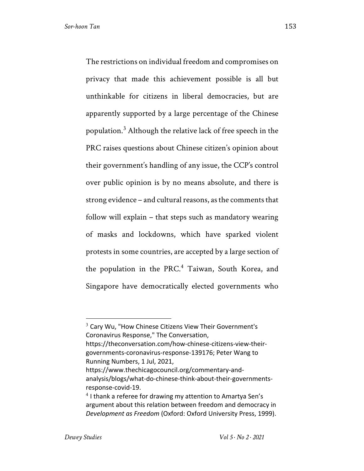The restrictions on individual freedom and compromises on privacy that made this achievement possible is all but unthinkable for citizens in liberal democracies, but are apparently supported by a large percentage of the Chinese population.<sup>3</sup> Although the relative lack of free speech in the PRC raises questions about Chinese citizen's opinion about their government's handling of any issue, the CCP's control over public opinion is by no means absolute, and there is strong evidence – and cultural reasons, as the comments that follow will explain – that steps such as mandatory wearing of masks and lockdowns, which have sparked violent protests in some countries, are accepted by a large section of the population in the PRC.<sup>4</sup> Taiwan, South Korea, and Singapore have democratically elected governments who

 $3$  Cary Wu, "How Chinese Citizens View Their Government's Coronavirus Response," The Conversation, https://theconversation.com/how-chinese-citizens-view-theirgovernments-coronavirus-response-139176; Peter Wang to Running Numbers, 1 Jul, 2021, https://www.thechicagocouncil.org/commentary-and-

analysis/blogs/what-do-chinese-think-about-their-governmentsresponse-covid-19.

 $4$  I thank a referee for drawing my attention to Amartya Sen's argument about this relation between freedom and democracy in *Development as Freedom* (Oxford: Oxford University Press, 1999).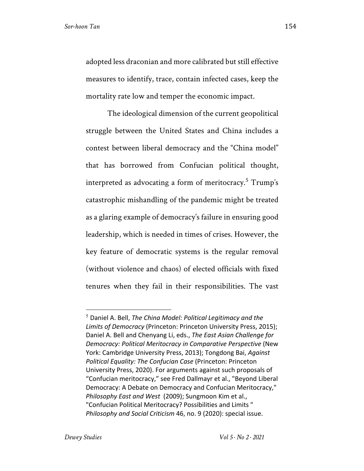adopted less draconian and more calibrated but still effective measures to identify, trace, contain infected cases, keep the mortality rate low and temper the economic impact.

The ideological dimension of the current geopolitical struggle between the United States and China includes a contest between liberal democracy and the "China model" that has borrowed from Confucian political thought, interpreted as advocating a form of meritocracy.<sup>5</sup> Trump's catastrophic mishandling of the pandemic might be treated as a glaring example of democracy's failure in ensuring good leadership, which is needed in times of crises. However, the key feature of democratic systems is the regular removal (without violence and chaos) of elected officials with fixed tenures when they fail in their responsibilities. The vast

<sup>5</sup> Daniel A. Bell, *The China Model: Political Legitimacy and the Limits of Democracy* (Princeton: Princeton University Press, 2015); Daniel A. Bell and Chenyang Li, eds., *The East Asian Challenge for Democracy: Political Meritocracy in Comparative Perspective* (New York: Cambridge University Press, 2013); Tongdong Bai, *Against Political Equality: The Confucian Case* (Princeton: Princeton University Press, 2020). For arguments against such proposals of "Confucian meritocracy," see Fred Dallmayr et al., "Beyond Liberal Democracy: A Debate on Democracy and Confucian Meritocracy," *Philosophy East and West* (2009); Sungmoon Kim et al., "Confucian Political Meritocracy? Possibilities and Limits " *Philosophy and Social Criticism* 46, no. 9 (2020): special issue.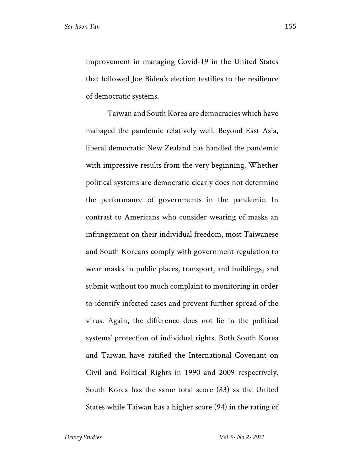improvement in managing Covid-19 in the United States that followed Joe Biden's election testifies to the resilience of democratic systems.

Taiwan and South Korea are democracies which have managed the pandemic relatively well. Beyond East Asia, liberal democratic New Zealand has handled the pandemic with impressive results from the very beginning. Whether political systems are democratic clearly does not determine the performance of governments in the pandemic. In contrast to Americans who consider wearing of masks an infringement on their individual freedom, most Taiwanese and South Koreans comply with government regulation to wear masks in public places, transport, and buildings, and submit without too much complaint to monitoring in order to identify infected cases and prevent further spread of the virus. Again, the difference does not lie in the political systems' protection of individual rights. Both South Korea and Taiwan have ratified the International Covenant on Civil and Political Rights in 1990 and 2009 respectively. South Korea has the same total score (83) as the United States while Taiwan has a higher score (94) in the rating of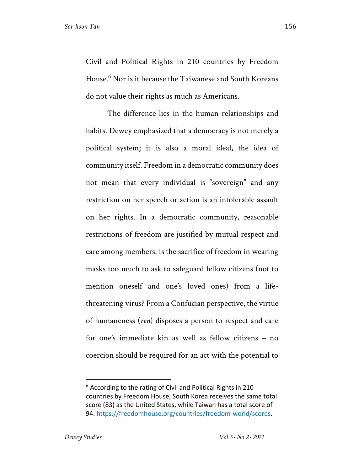Civil and Political Rights in 210 countries by Freedom House.<sup>6</sup> Nor is it because the Taiwanese and South Koreans do not value their rights as much as Americans.

The difference lies in the human relationships and habits. Dewey emphasized that a democracy is not merely a political system; it is also a moral ideal, the idea of community itself. Freedom in a democratic community does not mean that every individual is "sovereign" and any restriction on her speech or action is an intolerable assault on her rights. In a democratic community, reasonable restrictions of freedom are justified by mutual respect and care among members. Is the sacrifice of freedom in wearing masks too much to ask to safeguard fellow citizens (not to mention oneself and one's loved ones) from a lifethreatening virus? From a Confucian perspective, the virtue of humaneness (*ren*) disposes a person to respect and care for one's immediate kin as well as fellow citizens – no coercion should be required for an act with the potential to

 $6$  According to the rating of Civil and Political Rights in 210 countries by Freedom House, South Korea receives the same total score (83) as the United States, while Taiwan has a total score of 94. https://freedomhouse.org/countries/freedom-world/scores.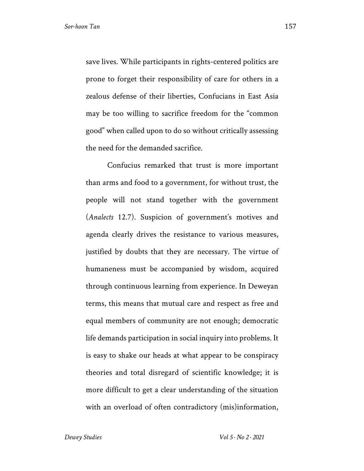save lives. While participants in rights-centered politics are prone to forget their responsibility of care for others in a zealous defense of their liberties, Confucians in East Asia may be too willing to sacrifice freedom for the "common good" when called upon to do so without critically assessing the need for the demanded sacrifice.

Confucius remarked that trust is more important than arms and food to a government, for without trust, the people will not stand together with the government (*Analects* 12.7). Suspicion of government's motives and agenda clearly drives the resistance to various measures, justified by doubts that they are necessary. The virtue of humaneness must be accompanied by wisdom, acquired through continuous learning from experience. In Deweyan terms, this means that mutual care and respect as free and equal members of community are not enough; democratic life demands participation in social inquiry into problems. It is easy to shake our heads at what appear to be conspiracy theories and total disregard of scientific knowledge; it is more difficult to get a clear understanding of the situation with an overload of often contradictory (mis)information,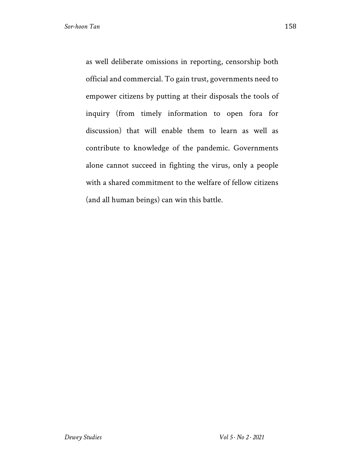as well deliberate omissions in reporting, censorship both official and commercial. To gain trust, governments need to empower citizens by putting at their disposals the tools of inquiry (from timely information to open fora for discussion) that will enable them to learn as well as contribute to knowledge of the pandemic. Governments alone cannot succeed in fighting the virus, only a people with a shared commitment to the welfare of fellow citizens (and all human beings) can win this battle.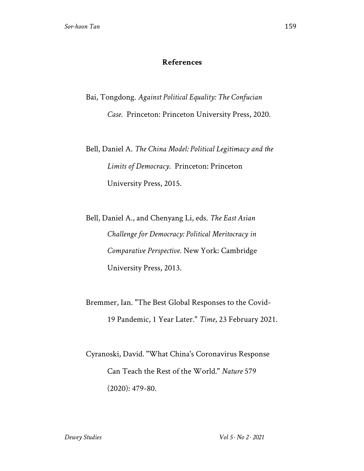## **References**

Bai, Tongdong. *Against Political Equality: The Confucian Case*. Princeton: Princeton University Press, 2020.

Bell, Daniel A. *The China Model: Political Legitimacy and the Limits of Democracy*. Princeton: Princeton University Press, 2015.

Bell, Daniel A., and Chenyang Li, eds. *The East Asian Challenge for Democracy: Political Meritocracy in Comparative Perspective*. New York: Cambridge University Press, 2013.

Bremmer, Ian. "The Best Global Responses to the Covid-19 Pandemic, 1 Year Later." *Time*, 23 February 2021.

Cyranoski, David. "What China's Coronavirus Response Can Teach the Rest of the World." *Nature* 579 (2020): 479-80.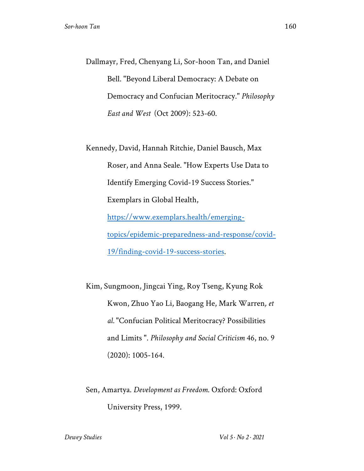Dallmayr, Fred, Chenyang Li, Sor-hoon Tan, and Daniel Bell. "Beyond Liberal Democracy: A Debate on Democracy and Confucian Meritocracy." *Philosophy East and West* (Oct 2009): 523-60.

Kennedy, David, Hannah Ritchie, Daniel Bausch, Max Roser, and Anna Seale. "How Experts Use Data to Identify Emerging Covid-19 Success Stories." Exemplars in Global Health, https://www.exemplars.health/emergingtopics/epidemic-preparedness-and-response/covid-19/finding-covid-19-success-stories.

Kim, Sungmoon, Jingcai Ying, Roy Tseng, Kyung Rok Kwon, Zhuo Yao Li, Baogang He, Mark Warren*, et al.* "Confucian Political Meritocracy? Possibilities and Limits ". *Philosophy and Social Criticism* 46, no. 9 (2020): 1005-164.

Sen, Amartya. *Development as Freedom*. Oxford: Oxford University Press, 1999.